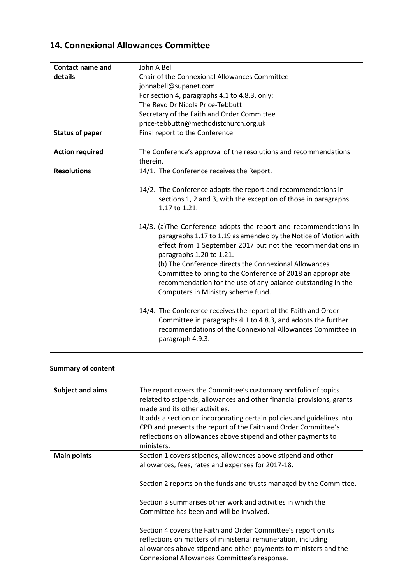# **14. Connexional Allowances Committee**

| <b>Contact name and</b> | John A Bell                                                                                                                                                                                                                                                                                                                                                                                                                                                   |  |
|-------------------------|---------------------------------------------------------------------------------------------------------------------------------------------------------------------------------------------------------------------------------------------------------------------------------------------------------------------------------------------------------------------------------------------------------------------------------------------------------------|--|
| details                 | Chair of the Connexional Allowances Committee                                                                                                                                                                                                                                                                                                                                                                                                                 |  |
|                         | johnabell@supanet.com                                                                                                                                                                                                                                                                                                                                                                                                                                         |  |
|                         | For section 4, paragraphs 4.1 to 4.8.3, only:                                                                                                                                                                                                                                                                                                                                                                                                                 |  |
|                         | The Revd Dr Nicola Price-Tebbutt                                                                                                                                                                                                                                                                                                                                                                                                                              |  |
|                         | Secretary of the Faith and Order Committee                                                                                                                                                                                                                                                                                                                                                                                                                    |  |
|                         | price-tebbuttn@methodistchurch.org.uk                                                                                                                                                                                                                                                                                                                                                                                                                         |  |
| <b>Status of paper</b>  | Final report to the Conference                                                                                                                                                                                                                                                                                                                                                                                                                                |  |
| <b>Action required</b>  | The Conference's approval of the resolutions and recommendations<br>therein.                                                                                                                                                                                                                                                                                                                                                                                  |  |
| <b>Resolutions</b>      | 14/1. The Conference receives the Report.                                                                                                                                                                                                                                                                                                                                                                                                                     |  |
|                         | 14/2. The Conference adopts the report and recommendations in<br>sections 1, 2 and 3, with the exception of those in paragraphs<br>1.17 to 1.21.                                                                                                                                                                                                                                                                                                              |  |
|                         | 14/3. (a) The Conference adopts the report and recommendations in<br>paragraphs 1.17 to 1.19 as amended by the Notice of Motion with<br>effect from 1 September 2017 but not the recommendations in<br>paragraphs 1.20 to 1.21.<br>(b) The Conference directs the Connexional Allowances<br>Committee to bring to the Conference of 2018 an appropriate<br>recommendation for the use of any balance outstanding in the<br>Computers in Ministry scheme fund. |  |
|                         | 14/4. The Conference receives the report of the Faith and Order<br>Committee in paragraphs 4.1 to 4.8.3, and adopts the further<br>recommendations of the Connexional Allowances Committee in<br>paragraph 4.9.3.                                                                                                                                                                                                                                             |  |

# **Summary of content**

| <b>Subject and aims</b> | The report covers the Committee's customary portfolio of topics<br>related to stipends, allowances and other financial provisions, grants<br>made and its other activities.<br>It adds a section on incorporating certain policies and guidelines into<br>CPD and presents the report of the Faith and Order Committee's<br>reflections on allowances above stipend and other payments to<br>ministers.                                                                                                                                                     |
|-------------------------|-------------------------------------------------------------------------------------------------------------------------------------------------------------------------------------------------------------------------------------------------------------------------------------------------------------------------------------------------------------------------------------------------------------------------------------------------------------------------------------------------------------------------------------------------------------|
| <b>Main points</b>      | Section 1 covers stipends, allowances above stipend and other<br>allowances, fees, rates and expenses for 2017-18.<br>Section 2 reports on the funds and trusts managed by the Committee.<br>Section 3 summarises other work and activities in which the<br>Committee has been and will be involved.<br>Section 4 covers the Faith and Order Committee's report on its<br>reflections on matters of ministerial remuneration, including<br>allowances above stipend and other payments to ministers and the<br>Connexional Allowances Committee's response. |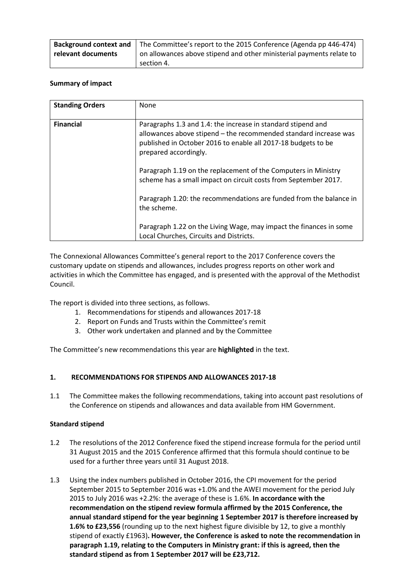| Background context and | The Committee's report to the 2015 Conference (Agenda pp 446-474)    |  |
|------------------------|----------------------------------------------------------------------|--|
| relevant documents     | on allowances above stipend and other ministerial payments relate to |  |
|                        | section 4.                                                           |  |

#### **Summary of impact**

| <b>Standing Orders</b> | None                                                                                                                                                                                                                       |
|------------------------|----------------------------------------------------------------------------------------------------------------------------------------------------------------------------------------------------------------------------|
| <b>Financial</b>       | Paragraphs 1.3 and 1.4: the increase in standard stipend and<br>allowances above stipend - the recommended standard increase was<br>published in October 2016 to enable all 2017-18 budgets to be<br>prepared accordingly. |
|                        | Paragraph 1.19 on the replacement of the Computers in Ministry<br>scheme has a small impact on circuit costs from September 2017.                                                                                          |
|                        | Paragraph 1.20: the recommendations are funded from the balance in<br>the scheme.                                                                                                                                          |
|                        | Paragraph 1.22 on the Living Wage, may impact the finances in some<br>Local Churches, Circuits and Districts.                                                                                                              |

The Connexional Allowances Committee's general report to the 2017 Conference covers the customary update on stipends and allowances, includes progress reports on other work and activities in which the Committee has engaged, and is presented with the approval of the Methodist Council.

The report is divided into three sections, as follows.

- 1. Recommendations for stipends and allowances 2017-18
- 2. Report on Funds and Trusts within the Committee's remit
- 3. Other work undertaken and planned and by the Committee

The Committee's new recommendations this year are **highlighted** in the text.

# **1. RECOMMENDATIONS FOR STIPENDS AND ALLOWANCES 2017-18**

1.1 The Committee makes the following recommendations, taking into account past resolutions of the Conference on stipends and allowances and data available from HM Government.

#### **Standard stipend**

- 1.2 The resolutions of the 2012 Conference fixed the stipend increase formula for the period until 31 August 2015 and the 2015 Conference affirmed that this formula should continue to be used for a further three years until 31 August 2018.
- 1.3 Using the index numbers published in October 2016, the CPI movement for the period September 2015 to September 2016 was +1.0% and the AWEI movement for the period July 2015 to July 2016 was +2.2%: the average of these is 1.6%. **In accordance with the recommendation on the stipend review formula affirmed by the 2015 Conference, the annual standard stipend for the year beginning 1 September 2017 is therefore increased by 1.6% to £23,556** (rounding up to the next highest figure divisible by 12, to give a monthly stipend of exactly £1963)**. However, the Conference is asked to note the recommendation in paragraph 1.19, relating to the Computers in Ministry grant: if this is agreed, then the standard stipend as from 1 September 2017 will be £23,712.**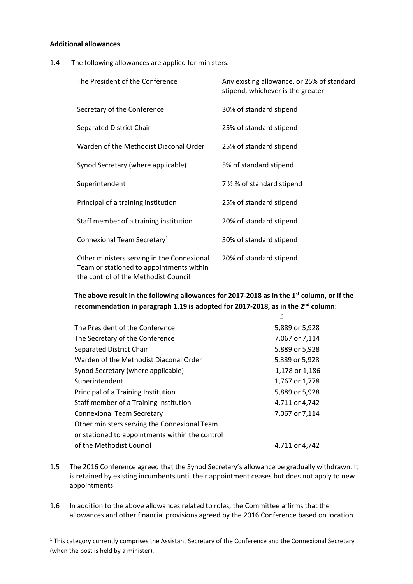#### **Additional allowances**

1

1.4 The following allowances are applied for ministers:

| The President of the Conference                                                                                                | Any existing allowance, or 25% of standard<br>stipend, whichever is the greater |
|--------------------------------------------------------------------------------------------------------------------------------|---------------------------------------------------------------------------------|
| Secretary of the Conference                                                                                                    | 30% of standard stipend                                                         |
| Separated District Chair                                                                                                       | 25% of standard stipend                                                         |
| Warden of the Methodist Diaconal Order                                                                                         | 25% of standard stipend                                                         |
| Synod Secretary (where applicable)                                                                                             | 5% of standard stipend                                                          |
| Superintendent                                                                                                                 | 7 % % of standard stipend                                                       |
| Principal of a training institution                                                                                            | 25% of standard stipend                                                         |
| Staff member of a training institution                                                                                         | 20% of standard stipend                                                         |
| Connexional Team Secretary <sup>1</sup>                                                                                        | 30% of standard stipend                                                         |
| Other ministers serving in the Connexional<br>Team or stationed to appointments within<br>the control of the Methodist Council | 20% of standard stipend                                                         |

# **The above result in the following allowances for 2017-2018 as in the 1 st column, or if the recommendation in paragraph 1.19 is adopted for 2017-2018, as in the 2 nd column**:

|                                                 | £              |
|-------------------------------------------------|----------------|
| The President of the Conference                 | 5,889 or 5,928 |
| The Secretary of the Conference                 | 7,067 or 7,114 |
| Separated District Chair                        | 5,889 or 5,928 |
| Warden of the Methodist Diaconal Order          | 5,889 or 5,928 |
| Synod Secretary (where applicable)              | 1,178 or 1,186 |
| Superintendent                                  | 1,767 or 1,778 |
| Principal of a Training Institution             | 5,889 or 5,928 |
| Staff member of a Training Institution          | 4,711 or 4,742 |
| <b>Connexional Team Secretary</b>               | 7,067 or 7,114 |
| Other ministers serving the Connexional Team    |                |
| or stationed to appointments within the control |                |
| of the Methodist Council                        | 4,711 or 4,742 |

- 1.5 The 2016 Conference agreed that the Synod Secretary's allowance be gradually withdrawn. It is retained by existing incumbents until their appointment ceases but does not apply to new appointments.
- 1.6 In addition to the above allowances related to roles, the Committee affirms that the allowances and other financial provisions agreed by the 2016 Conference based on location

<sup>&</sup>lt;sup>1</sup> This category currently comprises the Assistant Secretary of the Conference and the Connexional Secretary (when the post is held by a minister).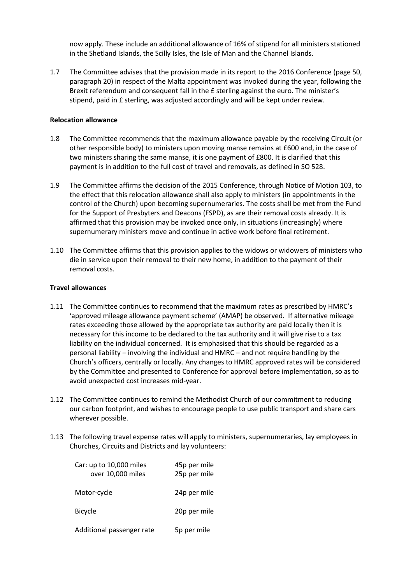now apply. These include an additional allowance of 16% of stipend for all ministers stationed in the Shetland Islands, the Scilly Isles, the Isle of Man and the Channel Islands.

1.7 The Committee advises that the provision made in its report to the 2016 Conference (page 50, paragraph 20) in respect of the Malta appointment was invoked during the year, following the Brexit referendum and consequent fall in the £ sterling against the euro. The minister's stipend, paid in £ sterling, was adjusted accordingly and will be kept under review.

#### **Relocation allowance**

- 1.8 The Committee recommends that the maximum allowance payable by the receiving Circuit (or other responsible body) to ministers upon moving manse remains at £600 and, in the case of two ministers sharing the same manse, it is one payment of £800. It is clarified that this payment is in addition to the full cost of travel and removals, as defined in SO 528.
- 1.9 The Committee affirms the decision of the 2015 Conference, through Notice of Motion 103, to the effect that this relocation allowance shall also apply to ministers (in appointments in the control of the Church) upon becoming supernumeraries. The costs shall be met from the Fund for the Support of Presbyters and Deacons (FSPD), as are their removal costs already. It is affirmed that this provision may be invoked once only, in situations (increasingly) where supernumerary ministers move and continue in active work before final retirement.
- 1.10 The Committee affirms that this provision applies to the widows or widowers of ministers who die in service upon their removal to their new home, in addition to the payment of their removal costs.

#### **Travel allowances**

- 1.11 The Committee continues to recommend that the maximum rates as prescribed by HMRC's 'approved mileage allowance payment scheme' (AMAP) be observed. If alternative mileage rates exceeding those allowed by the appropriate tax authority are paid locally then it is necessary for this income to be declared to the tax authority and it will give rise to a tax liability on the individual concerned. It is emphasised that this should be regarded as a personal liability – involving the individual and HMRC – and not require handling by the Church's officers, centrally or locally. Any changes to HMRC approved rates will be considered by the Committee and presented to Conference for approval before implementation, so as to avoid unexpected cost increases mid-year.
- 1.12 The Committee continues to remind the Methodist Church of our commitment to reducing our carbon footprint, and wishes to encourage people to use public transport and share cars wherever possible.
- 1.13 The following travel expense rates will apply to ministers, supernumeraries, lay employees in Churches, Circuits and Districts and lay volunteers:

| Car: up to 10,000 miles<br>over 10,000 miles | 45p per mile<br>25p per mile |
|----------------------------------------------|------------------------------|
| Motor-cycle                                  | 24p per mile                 |
| <b>Bicycle</b>                               | 20p per mile                 |
| Additional passenger rate                    | 5p per mile                  |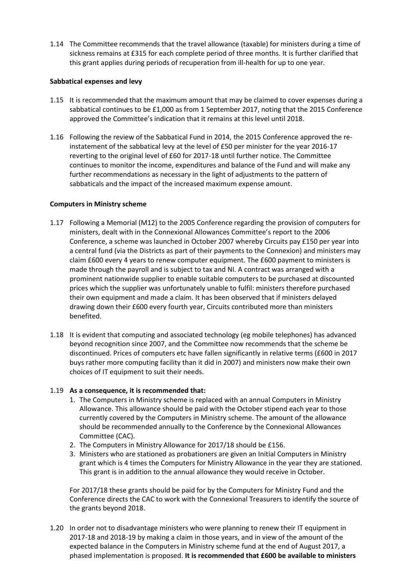1.14 The Committee recommends that the travel allowance (taxable) for ministers during a time of sickness remains at £315 for each complete period of three months. It is further clarified that this grant applies during periods of recuperation from ill-health for up to one year.

#### **Sabbatical expenses and levy**

- 1.15 It is recommended that the maximum amount that may be claimed to cover expenses during a sabbatical continues to be £1,000 as from 1 September 2017, noting that the 2015 Conference approved the Committee's indication that it remains at this level until 2018.
- 1.16 Following the review of the Sabbatical Fund in 2014, the 2015 Conference approved the reinstatement of the sabbatical levy at the level of £50 per minister for the year 2016-17 reverting to the original level of £60 for 2017-18 until further notice. The Committee continues to monitor the income, expenditures and balance of the Fund and will make any further recommendations as necessary in the light of adjustments to the pattern of sabbaticals and the impact of the increased maximum expense amount.

#### **Computers in Ministry scheme**

- 1.17 Following a Memorial (M12) to the 2005 Conference regarding the provision of computers for ministers, dealt with in the Connexional Allowances Committee's report to the 2006 Conference, a scheme was launched in October 2007 whereby Circuits pay £150 per year into a central fund (via the Districts as part of their payments to the Connexion) and ministers may claim £600 every 4 years to renew computer equipment. The £600 payment to ministers is made through the payroll and is subject to tax and NI. A contract was arranged with a prominent nationwide supplier to enable suitable computers to be purchased at discounted prices which the supplier was unfortunately unable to fulfil: ministers therefore purchased their own equipment and made a claim. It has been observed that if ministers delayed drawing down their £600 every fourth year, Circuits contributed more than ministers benefited.
- 1.18 It is evident that computing and associated technology (eg mobile telephones) has advanced beyond recognition since 2007, and the Committee now recommends that the scheme be discontinued. Prices of computers etc have fallen significantly in relative terms (£600 in 2017 buys rather more computing facility than it did in 2007) and ministers now make their own choices of IT equipment to suit their needs.

#### 1.19 **As a consequence, it is recommended that:**

- 1. The Computers in Ministry scheme is replaced with an annual Computers in Ministry Allowance. This allowance should be paid with the October stipend each year to those currently covered by the Computers in Ministry scheme. The amount of the allowance should be recommended annually to the Conference by the Connexional Allowances Committee (CAC).
- 2. The Computers in Ministry Allowance for 2017/18 should be £156.
- 3. Ministers who are stationed as probationers are given an Initial Computers in Ministry grant which is 4 times the Computers for Ministry Allowance in the year they are stationed. This grant is in addition to the annual allowance they would receive in October.

For 2017/18 these grants should be paid for by the Computers for Ministry Fund and the Conference directs the CAC to work with the Connexional Treasurers to identify the source of the grants beyond 2018.

1.20 In order not to disadvantage ministers who were planning to renew their IT equipment in 2017-18 and 2018-19 by making a claim in those years, and in view of the amount of the expected balance in the Computers in Ministry scheme fund at the end of August 2017, a phased implementation is proposed. **It is recommended that £600 be available to ministers**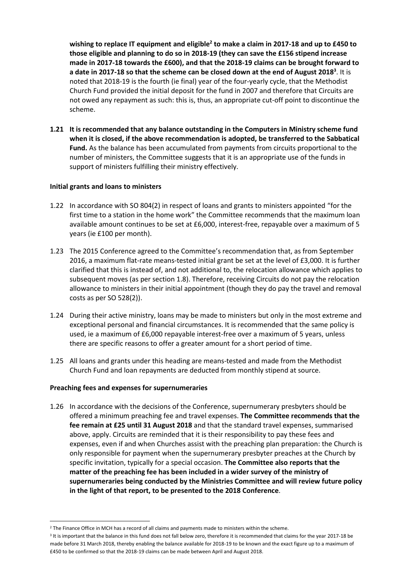**wishing to replace IT equipment and eligible<sup>2</sup> to make a claim in 2017-18 and up to £450 to those eligible and planning to do so in 2018-19 (they can save the £156 stipend increase made in 2017-18 towards the £600), and that the 2018-19 claims can be brought forward to a date in 2017-18 so that the scheme can be closed down at the end of August 2018<sup>3</sup>** . It is noted that 2018-19 is the fourth (ie final) year of the four-yearly cycle, that the Methodist Church Fund provided the initial deposit for the fund in 2007 and therefore that Circuits are not owed any repayment as such: this is, thus, an appropriate cut-off point to discontinue the scheme.

**1.21 It is recommended that any balance outstanding in the Computers in Ministry scheme fund when it is closed, if the above recommendation is adopted, be transferred to the Sabbatical Fund.** As the balance has been accumulated from payments from circuits proportional to the number of ministers, the Committee suggests that it is an appropriate use of the funds in support of ministers fulfilling their ministry effectively.

#### **Initial grants and loans to ministers**

- 1.22 In accordance with SO 804(2) in respect of loans and grants to ministers appointed "for the first time to a station in the home work" the Committee recommends that the maximum loan available amount continues to be set at £6,000, interest-free, repayable over a maximum of 5 years (ie £100 per month).
- 1.23 The 2015 Conference agreed to the Committee's recommendation that, as from September 2016, a maximum flat-rate means-tested initial grant be set at the level of £3,000. It is further clarified that this is instead of, and not additional to, the relocation allowance which applies to subsequent moves (as per section 1.8). Therefore, receiving Circuits do not pay the relocation allowance to ministers in their initial appointment (though they do pay the travel and removal costs as per SO 528(2)).
- 1.24 During their active ministry, loans may be made to ministers but only in the most extreme and exceptional personal and financial circumstances. It is recommended that the same policy is used, ie a maximum of £6,000 repayable interest-free over a maximum of 5 years, unless there are specific reasons to offer a greater amount for a short period of time.
- 1.25 All loans and grants under this heading are means-tested and made from the Methodist Church Fund and loan repayments are deducted from monthly stipend at source.

#### **Preaching fees and expenses for supernumeraries**

1

1.26 In accordance with the decisions of the Conference, supernumerary presbyters should be offered a minimum preaching fee and travel expenses. **The Committee recommends that the fee remain at £25 until 31 August 2018** and that the standard travel expenses, summarised above, apply. Circuits are reminded that it is their responsibility to pay these fees and expenses, even if and when Churches assist with the preaching plan preparation: the Church is only responsible for payment when the supernumerary presbyter preaches at the Church by specific invitation, typically for a special occasion. **The Committee also reports that the matter of the preaching fee has been included in a wider survey of the ministry of supernumeraries being conducted by the Ministries Committee and will review future policy in the light of that report, to be presented to the 2018 Conference**.

<sup>&</sup>lt;sup>2</sup> The Finance Office in MCH has a record of all claims and payments made to ministers within the scheme.

<sup>&</sup>lt;sup>3</sup> It is important that the balance in this fund does not fall below zero, therefore it is recommended that claims for the year 2017-18 be made before 31 March 2018, thereby enabling the balance available for 2018-19 to be known and the exact figure up to a maximum of £450 to be confirmed so that the 2018-19 claims can be made between April and August 2018.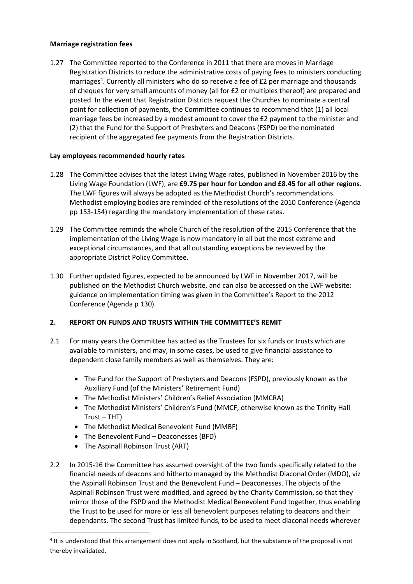#### **Marriage registration fees**

1.27 The Committee reported to the Conference in 2011 that there are moves in Marriage Registration Districts to reduce the administrative costs of paying fees to ministers conducting marriages<sup>4</sup>. Currently all ministers who do so receive a fee of £2 per marriage and thousands of cheques for very small amounts of money (all for £2 or multiples thereof) are prepared and posted. In the event that Registration Districts request the Churches to nominate a central point for collection of payments, the Committee continues to recommend that (1) all local marriage fees be increased by a modest amount to cover the £2 payment to the minister and (2) that the Fund for the Support of Presbyters and Deacons (FSPD) be the nominated recipient of the aggregated fee payments from the Registration Districts.

# **Lay employees recommended hourly rates**

- 1.28 The Committee advises that the latest Living Wage rates, published in November 2016 by the Living Wage Foundation (LWF), are **£9.75 per hour for London and £8.45 for all other regions**. The LWF figures will always be adopted as the Methodist Church's recommendations. Methodist employing bodies are reminded of the resolutions of the 2010 Conference (Agenda pp 153-154) regarding the mandatory implementation of these rates.
- 1.29 The Committee reminds the whole Church of the resolution of the 2015 Conference that the implementation of the Living Wage is now mandatory in all but the most extreme and exceptional circumstances, and that all outstanding exceptions be reviewed by the appropriate District Policy Committee.
- 1.30 Further updated figures, expected to be announced by LWF in November 2017, will be published on the Methodist Church website, and can also be accessed on the LWF website: guidance on implementation timing was given in the Committee's Report to the 2012 Conference (Agenda p 130).

# **2. REPORT ON FUNDS AND TRUSTS WITHIN THE COMMITTEE'S REMIT**

- 2.1 For many years the Committee has acted as the Trustees for six funds or trusts which are available to ministers, and may, in some cases, be used to give financial assistance to dependent close family members as well as themselves. They are:
	- The Fund for the Support of Presbyters and Deacons (FSPD), previously known as the Auxiliary Fund (of the Ministers' Retirement Fund)
	- The Methodist Ministers' Children's Relief Association (MMCRA)
	- The Methodist Ministers' Children's Fund (MMCF, otherwise known as the Trinity Hall Trust – THT)
	- The Methodist Medical Benevolent Fund (MMBF)
	- The Benevolent Fund Deaconesses (BFD)
	- The Aspinall Robinson Trust (ART)

1

2.2 In 2015-16 the Committee has assumed oversight of the two funds specifically related to the financial needs of deacons and hitherto managed by the Methodist Diaconal Order (MDO), viz the Aspinall Robinson Trust and the Benevolent Fund – Deaconesses. The objects of the Aspinall Robinson Trust were modified, and agreed by the Charity Commission, so that they mirror those of the FSPD and the Methodist Medical Benevolent Fund together, thus enabling the Trust to be used for more or less all benevolent purposes relating to deacons and their dependants. The second Trust has limited funds, to be used to meet diaconal needs wherever

<sup>&</sup>lt;sup>4</sup> It is understood that this arrangement does not apply in Scotland, but the substance of the proposal is not thereby invalidated.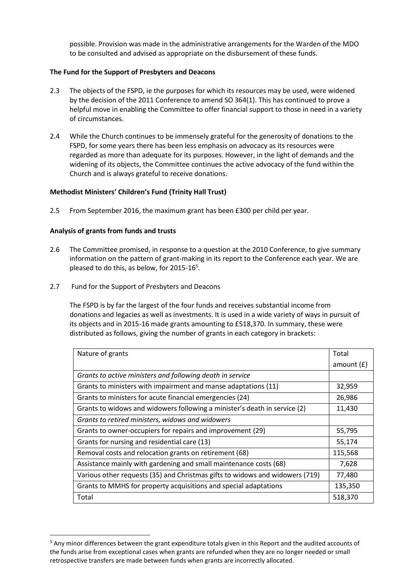possible. Provision was made in the administrative arrangements for the Warden of the MDO to be consulted and advised as appropriate on the disbursement of these funds.

#### **The Fund for the Support of Presbyters and Deacons**

- 2.3 The objects of the FSPD, ie the purposes for which its resources may be used, were widened by the decision of the 2011 Conference to amend SO 364(1). This has continued to prove a helpful move in enabling the Committee to offer financial support to those in need in a variety of circumstances.
- 2.4 While the Church continues to be immensely grateful for the generosity of donations to the FSPD, for some years there has been less emphasis on advocacy as its resources were regarded as more than adequate for its purposes. However, in the light of demands and the widening of its objects, the Committee continues the active advocacy of the fund within the Church and is always grateful to receive donations.

#### **Methodist Ministers' Children's Fund (Trinity Hall Trust)**

2.5 From September 2016, the maximum grant has been £300 per child per year.

#### **Analysis of grants from funds and trusts**

1

- 2.6 The Committee promised, in response to a question at the 2010 Conference, to give summary information on the pattern of grant-making in its report to the Conference each year. We are pleased to do this, as below, for 2015-16<sup>5</sup>.
- 2.7 Fund for the Support of Presbyters and Deacons

The FSPD is by far the largest of the four funds and receives substantial income from donations and legacies as well as investments. It is used in a wide variety of ways in pursuit of its objects and in 2015-16 made grants amounting to £518,370. In summary, these were distributed as follows, giving the number of grants in each category in brackets:

| Nature of grants                                                             |              |
|------------------------------------------------------------------------------|--------------|
|                                                                              | amount $(f)$ |
| Grants to active ministers and following death in service                    |              |
| Grants to ministers with impairment and manse adaptations (11)               | 32,959       |
| Grants to ministers for acute financial emergencies (24)                     | 26,986       |
| Grants to widows and widowers following a minister's death in service (2)    |              |
| Grants to retired ministers, widows and widowers                             |              |
| Grants to owner-occupiers for repairs and improvement (29)                   |              |
| Grants for nursing and residential care (13)                                 |              |
| Removal costs and relocation grants on retirement (68)                       |              |
| Assistance mainly with gardening and small maintenance costs (68)            |              |
| Various other requests (35) and Christmas gifts to widows and widowers (719) |              |
| Grants to MMHS for property acquisitions and special adaptations             | 135,350      |
| Total                                                                        | 518,370      |

<sup>5</sup> Any minor differences between the grant expenditure totals given in this Report and the audited accounts of the funds arise from exceptional cases when grants are refunded when they are no longer needed or small retrospective transfers are made between funds when grants are incorrectly allocated.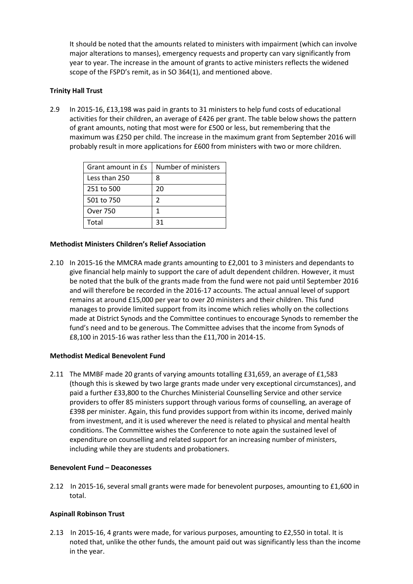It should be noted that the amounts related to ministers with impairment (which can involve major alterations to manses), emergency requests and property can vary significantly from year to year. The increase in the amount of grants to active ministers reflects the widened scope of the FSPD's remit, as in SO 364(1), and mentioned above.

# **Trinity Hall Trust**

2.9 In 2015-16, £13,198 was paid in grants to 31 ministers to help fund costs of educational activities for their children, an average of £426 per grant. The table below shows the pattern of grant amounts, noting that most were for £500 or less, but remembering that the maximum was £250 per child. The increase in the maximum grant from September 2016 will probably result in more applications for £600 from ministers with two or more children.

| Grant amount in Es | Number of ministers |
|--------------------|---------------------|
| Less than 250      | 8                   |
| 251 to 500         | 20                  |
| 501 to 750         | 2                   |
| <b>Over 750</b>    |                     |
| Total              | 31                  |

#### **Methodist Ministers Children's Relief Association**

2.10 In 2015-16 the MMCRA made grants amounting to £2,001 to 3 ministers and dependants to give financial help mainly to support the care of adult dependent children. However, it must be noted that the bulk of the grants made from the fund were not paid until September 2016 and will therefore be recorded in the 2016-17 accounts. The actual annual level of support remains at around £15,000 per year to over 20 ministers and their children. This fund manages to provide limited support from its income which relies wholly on the collections made at District Synods and the Committee continues to encourage Synods to remember the fund's need and to be generous. The Committee advises that the income from Synods of £8,100 in 2015-16 was rather less than the £11,700 in 2014-15.

#### **Methodist Medical Benevolent Fund**

2.11 The MMBF made 20 grants of varying amounts totalling £31,659, an average of £1,583 (though this is skewed by two large grants made under very exceptional circumstances), and paid a further £33,800 to the Churches Ministerial Counselling Service and other service providers to offer 85 ministers support through various forms of counselling, an average of £398 per minister. Again, this fund provides support from within its income, derived mainly from investment, and it is used wherever the need is related to physical and mental health conditions. The Committee wishes the Conference to note again the sustained level of expenditure on counselling and related support for an increasing number of ministers, including while they are students and probationers.

#### **Benevolent Fund – Deaconesses**

2.12 In 2015-16, several small grants were made for benevolent purposes, amounting to £1,600 in total.

#### **Aspinall Robinson Trust**

2.13 In 2015-16, 4 grants were made, for various purposes, amounting to £2,550 in total. It is noted that, unlike the other funds, the amount paid out was significantly less than the income in the year.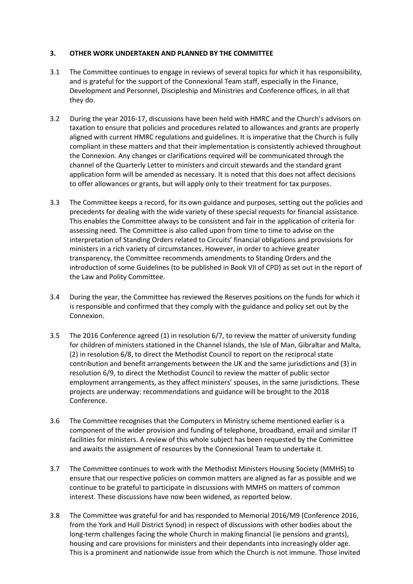#### **3. OTHER WORK UNDERTAKEN AND PLANNED BY THE COMMITTEE**

- 3.1 The Committee continues to engage in reviews of several topics for which it has responsibility, and is grateful for the support of the Connexional Team staff, especially in the Finance, Development and Personnel, Discipleship and Ministries and Conference offices, in all that they do.
- 3.2 During the year 2016-17, discussions have been held with HMRC and the Church's advisors on taxation to ensure that policies and procedures related to allowances and grants are properly aligned with current HMRC regulations and guidelines. It is imperative that the Church is fully compliant in these matters and that their implementation is consistently achieved throughout the Connexion. Any changes or clarifications required will be communicated through the channel of the Quarterly Letter to ministers and circuit stewards and the standard grant application form will be amended as necessary. It is noted that this does not affect decisions to offer allowances or grants, but will apply only to their treatment for tax purposes.
- 3.3 The Committee keeps a record, for its own guidance and purposes, setting out the policies and precedents for dealing with the wide variety of these special requests for financial assistance. This enables the Committee always to be consistent and fair in the application of criteria for assessing need. The Committee is also called upon from time to time to advise on the interpretation of Standing Orders related to Circuits' financial obligations and provisions for ministers in a rich variety of circumstances. However, in order to achieve greater transparency, the Committee recommends amendments to Standing Orders and the introduction of some Guidelines (to be published in Book VII of CPD) as set out in the report of the Law and Polity Committee.
- 3.4 During the year, the Committee has reviewed the Reserves positions on the funds for which it is responsible and confirmed that they comply with the guidance and policy set out by the Connexion.
- 3.5 The 2016 Conference agreed (1) in resolution 6/7, to review the matter of university funding for children of ministers stationed in the Channel Islands, the Isle of Man, Gibraltar and Malta, (2) in resolution 6/8, to direct the Methodist Council to report on the reciprocal state contribution and benefit arrangements between the UK and the same jurisdictions and (3) in resolution 6/9, to direct the Methodist Council to review the matter of public sector employment arrangements, as they affect ministers' spouses, in the same jurisdictions. These projects are underway: recommendations and guidance will be brought to the 2018 Conference.
- 3.6 The Committee recognises that the Computers in Ministry scheme mentioned earlier is a component of the wider provision and funding of telephone, broadband, email and similar IT facilities for ministers. A review of this whole subject has been requested by the Committee and awaits the assignment of resources by the Connexional Team to undertake it.
- 3.7 The Committee continues to work with the Methodist Ministers Housing Society (MMHS) to ensure that our respective policies on common matters are aligned as far as possible and we continue to be grateful to participate in discussions with MMHS on matters of common interest. These discussions have now been widened, as reported below.
- 3.8 The Committee was grateful for and has responded to Memorial 2016/M9 (Conference 2016, from the York and Hull District Synod) in respect of discussions with other bodies about the long-term challenges facing the whole Church in making financial (ie pensions and grants), housing and care provisions for ministers and their dependants into increasingly older age. This is a prominent and nationwide issue from which the Church is not immune. Those invited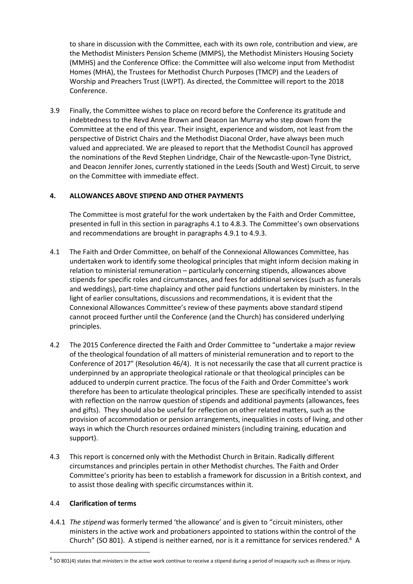to share in discussion with the Committee, each with its own role, contribution and view, are the Methodist Ministers Pension Scheme (MMPS), the Methodist Ministers Housing Society (MMHS) and the Conference Office: the Committee will also welcome input from Methodist Homes (MHA), the Trustees for Methodist Church Purposes (TMCP) and the Leaders of Worship and Preachers Trust (LWPT). As directed, the Committee will report to the 2018 Conference.

3.9 Finally, the Committee wishes to place on record before the Conference its gratitude and indebtedness to the Revd Anne Brown and Deacon Ian Murray who step down from the Committee at the end of this year. Their insight, experience and wisdom, not least from the perspective of District Chairs and the Methodist Diaconal Order, have always been much valued and appreciated. We are pleased to report that the Methodist Council has approved the nominations of the Revd Stephen Lindridge, Chair of the Newcastle-upon-Tyne District, and Deacon Jennifer Jones, currently stationed in the Leeds (South and West) Circuit, to serve on the Committee with immediate effect.

# **4. ALLOWANCES ABOVE STIPEND AND OTHER PAYMENTS**

The Committee is most grateful for the work undertaken by the Faith and Order Committee, presented in full in this section in paragraphs 4.1 to 4.8.3. The Committee's own observations and recommendations are brought in paragraphs 4.9.1 to 4.9.3.

- 4.1 The Faith and Order Committee, on behalf of the Connexional Allowances Committee, has undertaken work to identify some theological principles that might inform decision making in relation to ministerial remuneration – particularly concerning stipends, allowances above stipends for specific roles and circumstances, and fees for additional services (such as funerals and weddings), part-time chaplaincy and other paid functions undertaken by ministers. In the light of earlier consultations, discussions and recommendations, it is evident that the Connexional Allowances Committee's review of these payments above standard stipend cannot proceed further until the Conference (and the Church) has considered underlying principles.
- 4.2 The 2015 Conference directed the Faith and Order Committee to "undertake a major review of the theological foundation of all matters of ministerial remuneration and to report to the Conference of 2017" (Resolution 46/4). It is not necessarily the case that all current practice is underpinned by an appropriate theological rationale or that theological principles can be adduced to underpin current practice. The focus of the Faith and Order Committee's work therefore has been to articulate theological principles. These are specifically intended to assist with reflection on the narrow question of stipends and additional payments (allowances, fees and gifts). They should also be useful for reflection on other related matters, such as the provision of accommodation or pension arrangements, inequalities in costs of living, and other ways in which the Church resources ordained ministers (including training, education and support).
- 4.3 This report is concerned only with the Methodist Church in Britain. Radically different circumstances and principles pertain in other Methodist churches. The Faith and Order Committee's priority has been to establish a framework for discussion in a British context, and to assist those dealing with specific circumstances within it.

# 4.4 **Clarification of terms**

 $\overline{a}$ 

4.4.1 *The stipend* was formerly termed 'the allowance' and is given to "circuit ministers, other ministers in the active work and probationers appointed to stations within the control of the Church" (SO 801). A stipend is neither earned, nor is it a remittance for services rendered.<sup>6</sup> A

 $^6$  SO 801(4) states that ministers in the active work continue to receive a stipend during a period of incapacity such as illness or injury.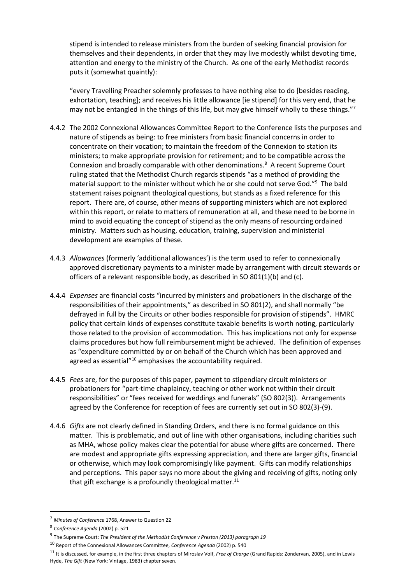stipend is intended to release ministers from the burden of seeking financial provision for themselves and their dependents, in order that they may live modestly whilst devoting time, attention and energy to the ministry of the Church. As one of the early Methodist records puts it (somewhat quaintly):

"every Travelling Preacher solemnly professes to have nothing else to do [besides reading, exhortation, teaching]; and receives his little allowance [ie stipend] for this very end, that he may not be entangled in the things of this life, but may give himself wholly to these things."<sup>7</sup>

- 4.4.2 The 2002 Connexional Allowances Committee Report to the Conference lists the purposes and nature of stipends as being: to free ministers from basic financial concerns in order to concentrate on their vocation; to maintain the freedom of the Connexion to station its ministers; to make appropriate provision for retirement; and to be compatible across the Connexion and broadly comparable with other denominations.<sup>8</sup> A recent Supreme Court ruling stated that the Methodist Church regards stipends "as a method of providing the material support to the minister without which he or she could not serve God."<sup>9</sup> The bald statement raises poignant theological questions, but stands as a fixed reference for this report. There are, of course, other means of supporting ministers which are not explored within this report, or relate to matters of remuneration at all, and these need to be borne in mind to avoid equating the concept of stipend as the only means of resourcing ordained ministry. Matters such as housing, education, training, supervision and ministerial development are examples of these.
- 4.4.3 *Allowances* (formerly 'additional allowances') is the term used to refer to connexionally approved discretionary payments to a minister made by arrangement with circuit stewards or officers of a relevant responsible body, as described in SO 801(1)(b) and (c).
- 4.4.4 *Expenses* are financial costs "incurred by ministers and probationers in the discharge of the responsibilities of their appointments," as described in SO 801(2), and shall normally "be defrayed in full by the Circuits or other bodies responsible for provision of stipends". HMRC policy that certain kinds of expenses constitute taxable benefits is worth noting, particularly those related to the provision of accommodation. This has implications not only for expense claims procedures but how full reimbursement might be achieved. The definition of expenses as "expenditure committed by or on behalf of the Church which has been approved and agreed as essential"<sup>10</sup> emphasises the accountability required.
- 4.4.5 *Fees* are, for the purposes of this paper, payment to stipendiary circuit ministers or probationers for "part-time chaplaincy, teaching or other work not within their circuit responsibilities" or "fees received for weddings and funerals" (SO 802(3)). Arrangements agreed by the Conference for reception of fees are currently set out in SO 802(3)-(9).
- 4.4.6 *Gifts* are not clearly defined in Standing Orders, and there is no formal guidance on this matter. This is problematic, and out of line with other organisations, including charities such as MHA, whose policy makes clear the potential for abuse where gifts are concerned. There are modest and appropriate gifts expressing appreciation, and there are larger gifts, financial or otherwise, which may look compromisingly like payment. Gifts can modify relationships and perceptions. This paper says no more about the giving and receiving of gifts, noting only that gift exchange is a profoundly theological matter. $11$

<sup>7</sup> *Minutes of Conference* 1768, Answer to Question 22

<sup>8</sup> *Conference Agenda* (2002) p. 521

<sup>9</sup> The Supreme Court: *The President of the Methodist Conference v Preston (2013) paragraph 19*

<sup>10</sup> Report of the Connexional Allowances Committee, *Conference Agenda* (2002) p. 540

<sup>11</sup> It is discussed, for example, in the first three chapters of Miroslav Volf, *Free of Charge* (Grand Rapids: Zondervan, 2005), and in Lewis Hyde, *The Gift* (New York: Vintage, 1983) chapter seven.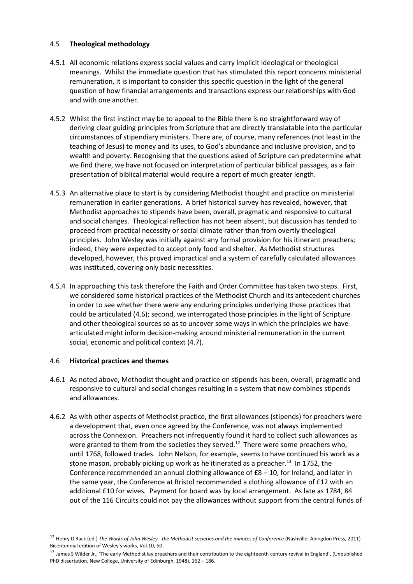# 4.5 **Theological methodology**

- 4.5.1 All economic relations express social values and carry implicit ideological or theological meanings. Whilst the immediate question that has stimulated this report concerns ministerial remuneration, it is important to consider this specific question in the light of the general question of how financial arrangements and transactions express our relationships with God and with one another.
- 4.5.2 Whilst the first instinct may be to appeal to the Bible there is no straightforward way of deriving clear guiding principles from Scripture that are directly translatable into the particular circumstances of stipendiary ministers. There are, of course, many references (not least in the teaching of Jesus) to money and its uses, to God's abundance and inclusive provision, and to wealth and poverty. Recognising that the questions asked of Scripture can predetermine what we find there, we have not focused on interpretation of particular biblical passages, as a fair presentation of biblical material would require a report of much greater length.
- 4.5.3 An alternative place to start is by considering Methodist thought and practice on ministerial remuneration in earlier generations. A brief historical survey has revealed, however, that Methodist approaches to stipends have been, overall, pragmatic and responsive to cultural and social changes. Theological reflection has not been absent, but discussion has tended to proceed from practical necessity or social climate rather than from overtly theological principles. John Wesley was initially against any formal provision for his itinerant preachers; indeed, they were expected to accept only food and shelter. As Methodist structures developed, however, this proved impractical and a system of carefully calculated allowances was instituted, covering only basic necessities.
- 4.5.4 In approaching this task therefore the Faith and Order Committee has taken two steps. First, we considered some historical practices of the Methodist Church and its antecedent churches in order to see whether there were any enduring principles underlying those practices that could be articulated (4.6); second, we interrogated those principles in the light of Scripture and other theological sources so as to uncover some ways in which the principles we have articulated might inform decision-making around ministerial remuneration in the current social, economic and political context (4.7).

# 4.6 **Historical practices and themes**

**.** 

- 4.6.1 As noted above, Methodist thought and practice on stipends has been, overall, pragmatic and responsive to cultural and social changes resulting in a system that now combines stipends and allowances.
- 4.6.2 As with other aspects of Methodist practice, the first allowances (stipends) for preachers were a development that, even once agreed by the Conference, was not always implemented across the Connexion. Preachers not infrequently found it hard to collect such allowances as were granted to them from the societies they served.<sup>12</sup> There were some preachers who, until 1768, followed trades. John Nelson, for example, seems to have continued his work as a stone mason, probably picking up work as he itinerated as a preacher.<sup>13</sup> In 1752, the Conference recommended an annual clothing allowance of  $£8 - 10$ , for Ireland, and later in the same year, the Conference at Bristol recommended a clothing allowance of £12 with an additional £10 for wives. Payment for board was by local arrangement. As late as 1784, 84 out of the 116 Circuits could not pay the allowances without support from the central funds of

<sup>12</sup> Henry D Rack (ed.) *The Works of John Wesley - the Methodist societies and the minutes of Conference* (Nashville: Abingdon Press, 2011) Bicentennial edition of Wesley's works, Vol.10, 50.

<sup>&</sup>lt;sup>13</sup> James S Wilder Jr., 'The early Methodist lay preachers and their contribution to the eighteenth century revival in England', (Unpublished PhD dissertation, New College, University of Edinburgh, 1948), 162 – 186.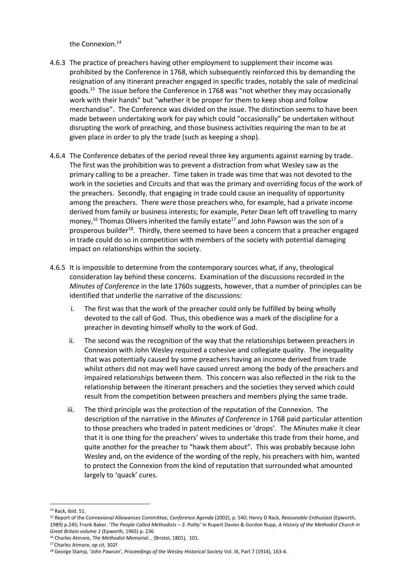the Connexion.<sup>14</sup>

- 4.6.3 The practice of preachers having other employment to supplement their income was prohibited by the Conference in 1768, which subsequently reinforced this by demanding the resignation of any itinerant preacher engaged in specific trades, notably the sale of medicinal goods.<sup>15</sup> The issue before the Conference in 1768 was "not whether they may occasionally work with their hands" but "whether it be proper for them to keep shop and follow merchandise". The Conference was divided on the issue. The distinction seems to have been made between undertaking work for pay which could "occasionally" be undertaken without disrupting the work of preaching, and those business activities requiring the man to be at given place in order to ply the trade (such as keeping a shop).
- 4.6.4 The Conference debates of the period reveal three key arguments against earning by trade. The first was the prohibition was to prevent a distraction from what Wesley saw as the primary calling to be a preacher. Time taken in trade was time that was not devoted to the work in the societies and Circuits and that was the primary and overriding focus of the work of the preachers. Secondly, that engaging in trade could cause an inequality of opportunity among the preachers. There were those preachers who, for example, had a private income derived from family or business interests; for example, Peter Dean left off travelling to marry money,<sup>16</sup> Thomas Olivers inherited the family estate<sup>17</sup> and John Pawson was the son of a prosperous builder<sup>18</sup>. Thirdly, there seemed to have been a concern that a preacher engaged in trade could do so in competition with members of the society with potential damaging impact on relationships within the society.
- 4.6.5 It is impossible to determine from the contemporary sources what, if any, theological consideration lay behind these concerns. Examination of the discussions recorded in the *Minutes of Conference* in the late 1760s suggests, however, that a number of principles can be identified that underlie the narrative of the discussions:
	- i. The first was that the work of the preacher could only be fulfilled by being wholly devoted to the call of God. Thus, this obedience was a mark of the discipline for a preacher in devoting himself wholly to the work of God.
	- ii. The second was the recognition of the way that the relationships between preachers in Connexion with John Wesley required a cohesive and collegiate quality. The inequality that was potentially caused by some preachers having an income derived from trade whilst others did not may well have caused unrest among the body of the preachers and impaired relationships between them. This concern was also reflected in the risk to the relationship between the itinerant preachers and the societies they served which could result from the competition between preachers and members plying the same trade.
	- iii. The third principle was the protection of the reputation of the Connexion. The description of the narrative in the *Minutes of Conference* in 1768 paid particular attention to those preachers who traded in patent medicines or 'drops'. The *Minutes* make it clear that it is one thing for the preachers' wives to undertake this trade from their home, and quite another for the preacher to "hawk them about". This was probably because John Wesley and, on the evidence of the wording of the reply, his preachers with him, wanted to protect the Connexion from the kind of reputation that surrounded what amounted largely to 'quack' cures.

**<sup>.</sup>** <sup>14</sup> Rack, ibid. 51.

<sup>15</sup> Report of the Connexional Allowances Committee, *Conference Agenda* (2002), p. 540; Henry D Rack, *Reasonable Enthusiast* (Epworth, 1989) p.245; Frank Baker. '*The People Called Methodists – 3. Polity'* in Rupert Davies & Gordon Rupp, *A History of the Methodist Church in Great Britain volume 1* (Epworth, 1965) p. 236

<sup>16</sup> Charles Atmore, *The Methodist Memorial...* (Bristol, 1801)*,* 101.

<sup>17</sup> Charles Atmore, *op cit,* 302f

<sup>18</sup> George Stamp, 'John Pawson'*, Proceedings of the Wesley Historical Society* Vol. IX, Part 7 (1914), 163-4.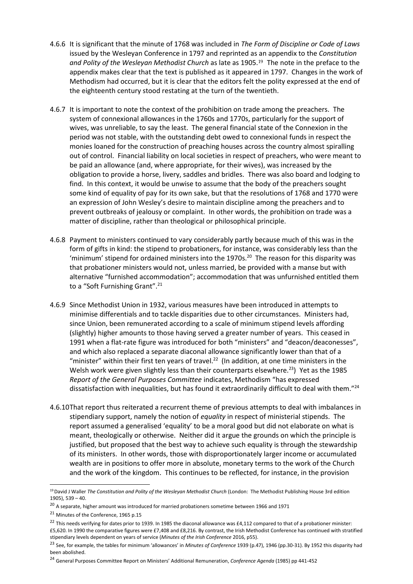- 4.6.6 It is significant that the minute of 1768 was included in *The Form of Discipline or Code of Laws* issued by the Wesleyan Conference in 1797 and reprinted as an appendix to the *Constitution and Polity of the Wesleyan Methodist Church* as late as 1905.19 The note in the preface to the appendix makes clear that the text is published as it appeared in 1797. Changes in the work of Methodism had occurred, but it is clear that the editors felt the polity expressed at the end of the eighteenth century stood restating at the turn of the twentieth.
- 4.6.7 It is important to note the context of the prohibition on trade among the preachers. The system of connexional allowances in the 1760s and 1770s, particularly for the support of wives, was unreliable, to say the least. The general financial state of the Connexion in the period was not stable, with the outstanding debt owed to connexional funds in respect the monies loaned for the construction of preaching houses across the country almost spiralling out of control. Financial liability on local societies in respect of preachers, who were meant to be paid an allowance (and, where appropriate, for their wives), was increased by the obligation to provide a horse, livery, saddles and bridles. There was also board and lodging to find. In this context, it would be unwise to assume that the body of the preachers sought some kind of equality of pay for its own sake, but that the resolutions of 1768 and 1770 were an expression of John Wesley's desire to maintain discipline among the preachers and to prevent outbreaks of jealousy or complaint. In other words, the prohibition on trade was a matter of discipline, rather than theological or philosophical principle.
- 4.6.8 Payment to ministers continued to vary considerably partly because much of this was in the form of gifts in kind: the stipend to probationers, for instance, was considerably less than the 'minimum' stipend for ordained ministers into the 1970s.<sup>20</sup> The reason for this disparity was that probationer ministers would not, unless married, be provided with a manse but with alternative "furnished accommodation"; accommodation that was unfurnished entitled them to a "Soft Furnishing Grant".<sup>21</sup>
- 4.6.9 Since Methodist Union in 1932, various measures have been introduced in attempts to minimise differentials and to tackle disparities due to other circumstances. Ministers had, since Union, been remunerated according to a scale of minimum stipend levels affording (slightly) higher amounts to those having served a greater number of years. This ceased in 1991 when a flat-rate figure was introduced for both "ministers" and "deacon/deaconesses", and which also replaced a separate diaconal allowance significantly lower than that of a "minister" within their first ten years of travel.<sup>22</sup> (In addition, at one time ministers in the Welsh work were given slightly less than their counterparts elsewhere.<sup>23</sup>) Yet as the 1985 *Report of the General Purposes Committee* indicates, Methodism "has expressed dissatisfaction with inequalities, but has found it extraordinarily difficult to deal with them."<sup>24</sup>
- 4.6.10That report thus reiterated a recurrent theme of previous attempts to deal with imbalances in stipendiary support, namely the notion of *equality* in respect of ministerial stipends. The report assumed a generalised 'equality' to be a moral good but did not elaborate on what is meant, theologically or otherwise. Neither did it argue the grounds on which the principle is justified, but proposed that the best way to achieve such equality is through the stewardship of its ministers. In other words, those with disproportionately larger income or accumulated wealth are in positions to offer more in absolute, monetary terms to the work of the Church and the work of the kingdom. This continues to be reflected, for instance, in the provision

**.** 

<sup>&</sup>lt;sup>19</sup> David J Waller *The Constitution and Polity of the Wesleyan Methodist Church* (London: The Methodist Publishing House 3rd edition 1905), 539 – 40.

<sup>&</sup>lt;sup>20</sup> A separate, higher amount was introduced for married probationers sometime between 1966 and 1971

<sup>21</sup> Minutes of the Conference, 1965 p.15

 $^{22}$  This needs verifying for dates prior to 1939. In 1985 the diaconal allowance was £4,112 compared to that of a probationer minister: £5,620. In 1990 the comparative figures were £7,408 and £8,216. By contrast, the Irish Methodist Conference has continued with stratified stipendiary levels dependent on years of service (*Minutes of the Irish Conference* 2016, p55).

<sup>23</sup> See, for example, the tables for minimum 'allowances' in *Minutes of Conference* 1939 (p.47), 1946 (pp.30-31). By 1952 this disparity had been abolished.

<sup>24</sup> General Purposes Committee Report on Ministers' Additional Remuneration, *Conference Agenda* (1985) pp 441-452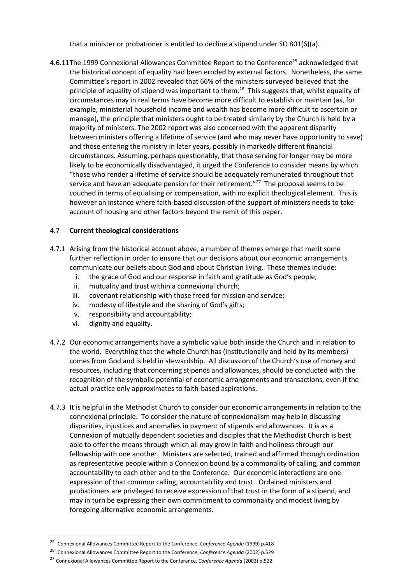that a minister or probationer is entitled to decline a stipend under SO 801(6)(a).

4.6.11The 1999 Connexional Allowances Committee Report to the Conference<sup>25</sup> acknowledged that the historical concept of equality had been eroded by external factors. Nonetheless, the same Committee's report in 2002 revealed that 66% of the ministers surveyed believed that the principle of equality of stipend was important to them.<sup>26</sup> This suggests that, whilst equality of circumstances may in real terms have become more difficult to establish or maintain (as, for example, ministerial household income and wealth has become more difficult to ascertain or manage), the principle that ministers ought to be treated similarly by the Church is held by a majority of ministers. The 2002 report was also concerned with the apparent disparity between ministers offering a lifetime of service (and who may never have opportunity to save) and those entering the ministry in later years, possibly in markedly different financial circumstances. Assuming, perhaps questionably, that those serving for longer may be more likely to be economically disadvantaged, it urged the Conference to consider means by which "those who render a lifetime of service should be adequately remunerated throughout that service and have an adequate pension for their retirement."<sup>27</sup> The proposal seems to be couched in terms of equalising or compensation, with no explicit theological element. This is however an instance where faith-based discussion of the support of ministers needs to take account of housing and other factors beyond the remit of this paper.

# 4.7 **Current theological considerations**

- 4.7.1 Arising from the historical account above, a number of themes emerge that merit some further reflection in order to ensure that our decisions about our economic arrangements communicate our beliefs about God and about Christian living. These themes include:
	- i. the grace of God and our response in faith and gratitude as God's people;
	- ii. mutuality and trust within a connexional church;
	- iii. covenant relationship with those freed for mission and service;
	- iv. modesty of lifestyle and the sharing of God's gifts;
	- v. responsibility and accountability;
	- vi. dignity and equality.

- 4.7.2 Our economic arrangements have a symbolic value both inside the Church and in relation to the world. Everything that the whole Church has (institutionally and held by its members) comes from God and is held in stewardship. All discussion of the Church's use of money and resources, including that concerning stipends and allowances, should be conducted with the recognition of the symbolic potential of economic arrangements and transactions, even if the actual practice only approximates to faith-based aspirations.
- 4.7.3 It is helpful in the Methodist Church to consider our economic arrangements in relation to the connexional principle. To consider the nature of connexionalism may help in discussing disparities, injustices and anomalies in payment of stipends and allowances. It is as a Connexion of mutually dependent societies and disciples that the Methodist Church is best able to offer the means through which all may grow in faith and holiness through our fellowship with one another. Ministers are selected, trained and affirmed through ordination as representative people within a Connexion bound by a commonality of calling, and common accountability to each other and to the Conference. Our economic interactions are one expression of that common calling, accountability and trust. Ordained ministers and probationers are privileged to receive expression of that trust in the form of a stipend, and may in turn be expressing their own commitment to commonality and modest living by foregoing alternative economic arrangements.

<sup>25</sup> Connexional Allowances Committee Report to the Conference, *Conference Agenda* (1999) p.418

<sup>26</sup> Connexional Allowances Committee Report to the Conference, *Conference Agenda* (2002) p.529

<sup>27</sup> Connexional Allowances Committee Report to the Conference, *Conference Agenda* (2002) p.522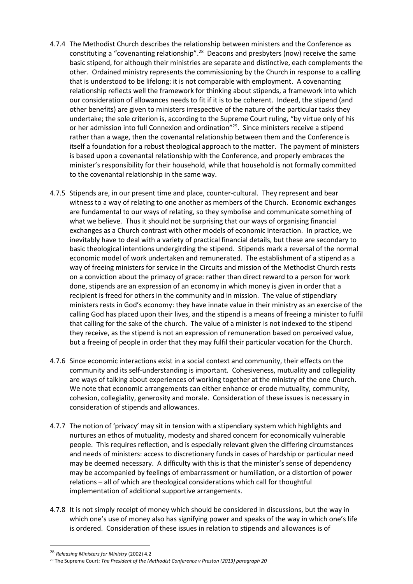- 4.7.4 The Methodist Church describes the relationship between ministers and the Conference as constituting a "covenanting relationship".<sup>28</sup> Deacons and presbyters (now) receive the same basic stipend, for although their ministries are separate and distinctive, each complements the other. Ordained ministry represents the commissioning by the Church in response to a calling that is understood to be lifelong: it is not comparable with employment. A covenanting relationship reflects well the framework for thinking about stipends, a framework into which our consideration of allowances needs to fit if it is to be coherent. Indeed, the stipend (and other benefits) are given to ministers irrespective of the nature of the particular tasks they undertake; the sole criterion is, according to the Supreme Court ruling, "by virtue only of his or her admission into full Connexion and ordination"<sup>29</sup>. Since ministers receive a stipend rather than a wage, then the covenantal relationship between them and the Conference is itself a foundation for a robust theological approach to the matter. The payment of ministers is based upon a covenantal relationship with the Conference, and properly embraces the minister's responsibility for their household, while that household is not formally committed to the covenantal relationship in the same way.
- 4.7.5 Stipends are, in our present time and place, counter-cultural. They represent and bear witness to a way of relating to one another as members of the Church. Economic exchanges are fundamental to our ways of relating, so they symbolise and communicate something of what we believe. Thus it should not be surprising that our ways of organising financial exchanges as a Church contrast with other models of economic interaction. In practice, we inevitably have to deal with a variety of practical financial details, but these are secondary to basic theological intentions undergirding the stipend. Stipends mark a reversal of the normal economic model of work undertaken and remunerated. The establishment of a stipend as a way of freeing ministers for service in the Circuits and mission of the Methodist Church rests on a conviction about the primacy of grace: rather than direct reward to a person for work done, stipends are an expression of an economy in which money is given in order that a recipient is freed for others in the community and in mission. The value of stipendiary ministers rests in God's economy: they have innate value in their ministry as an exercise of the calling God has placed upon their lives, and the stipend is a means of freeing a minister to fulfil that calling for the sake of the church. The value of a minister is not indexed to the stipend they receive, as the stipend is not an expression of remuneration based on perceived value, but a freeing of people in order that they may fulfil their particular vocation for the Church.
- 4.7.6 Since economic interactions exist in a social context and community, their effects on the community and its self-understanding is important. Cohesiveness, mutuality and collegiality are ways of talking about experiences of working together at the ministry of the one Church. We note that economic arrangements can either enhance or erode mutuality, community, cohesion, collegiality, generosity and morale. Consideration of these issues is necessary in consideration of stipends and allowances.
- 4.7.7 The notion of 'privacy' may sit in tension with a stipendiary system which highlights and nurtures an ethos of mutuality, modesty and shared concern for economically vulnerable people. This requires reflection, and is especially relevant given the differing circumstances and needs of ministers: access to discretionary funds in cases of hardship or particular need may be deemed necessary. A difficulty with this is that the minister's sense of dependency may be accompanied by feelings of embarrassment or humiliation, or a distortion of power relations – all of which are theological considerations which call for thoughtful implementation of additional supportive arrangements.
- 4.7.8 It is not simply receipt of money which should be considered in discussions, but the way in which one's use of money also has signifying power and speaks of the way in which one's life is ordered. Consideration of these issues in relation to stipends and allowances is of

<sup>28</sup> *Releasing Ministers for Ministry* (2002) 4.2

<sup>29</sup> The Supreme Court: *The President of the Methodist Conference v Preston (2013) paragraph 20*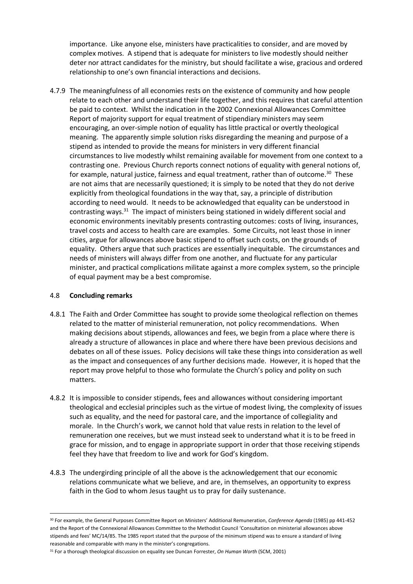importance. Like anyone else, ministers have practicalities to consider, and are moved by complex motives. A stipend that is adequate for ministers to live modestly should neither deter nor attract candidates for the ministry, but should facilitate a wise, gracious and ordered relationship to one's own financial interactions and decisions.

4.7.9 The meaningfulness of all economies rests on the existence of community and how people relate to each other and understand their life together, and this requires that careful attention be paid to context. Whilst the indication in the 2002 Connexional Allowances Committee Report of majority support for equal treatment of stipendiary ministers may seem encouraging, an over-simple notion of equality has little practical or overtly theological meaning. The apparently simple solution risks disregarding the meaning and purpose of a stipend as intended to provide the means for ministers in very different financial circumstances to live modestly whilst remaining available for movement from one context to a contrasting one. Previous Church reports connect notions of equality with general notions of, for example, natural justice, fairness and equal treatment, rather than of outcome.<sup>30</sup> These are not aims that are necessarily questioned; it is simply to be noted that they do not derive explicitly from theological foundations in the way that, say, a principle of distribution according to need would. It needs to be acknowledged that equality can be understood in contrasting ways.<sup>31</sup> The impact of ministers being stationed in widely different social and economic environments inevitably presents contrasting outcomes: costs of living, insurances, travel costs and access to health care are examples. Some Circuits, not least those in inner cities, argue for allowances above basic stipend to offset such costs, on the grounds of equality. Others argue that such practices are essentially inequitable. The circumstances and needs of ministers will always differ from one another, and fluctuate for any particular minister, and practical complications militate against a more complex system, so the principle of equal payment may be a best compromise.

#### 4.8 **Concluding remarks**

- 4.8.1 The Faith and Order Committee has sought to provide some theological reflection on themes related to the matter of ministerial remuneration, not policy recommendations. When making decisions about stipends, allowances and fees, we begin from a place where there is already a structure of allowances in place and where there have been previous decisions and debates on all of these issues. Policy decisions will take these things into consideration as well as the impact and consequences of any further decisions made. However, it is hoped that the report may prove helpful to those who formulate the Church's policy and polity on such matters.
- 4.8.2 It is impossible to consider stipends, fees and allowances without considering important theological and ecclesial principles such as the virtue of modest living, the complexity of issues such as equality, and the need for pastoral care, and the importance of collegiality and morale. In the Church's work, we cannot hold that value rests in relation to the level of remuneration one receives, but we must instead seek to understand what it is to be freed in grace for mission, and to engage in appropriate support in order that those receiving stipends feel they have that freedom to live and work for God's kingdom.
- 4.8.3 The undergirding principle of all the above is the acknowledgement that our economic relations communicate what we believe, and are, in themselves, an opportunity to express faith in the God to whom Jesus taught us to pray for daily sustenance.

<sup>30</sup> For example, the General Purposes Committee Report on Ministers' Additional Remuneration, *Conference Agenda* (1985) pp 441-452 and the Report of the Connexional Allowances Committee to the Methodist Council 'Consultation on ministerial allowances above stipends and fees' MC/14/85. The 1985 report stated that the purpose of the minimum stipend was to ensure a standard of living reasonable and comparable with many in the minister's congregations.

<sup>31</sup> For a thorough theological discussion on equality see Duncan Forrester, *On Human Worth* (SCM, 2001)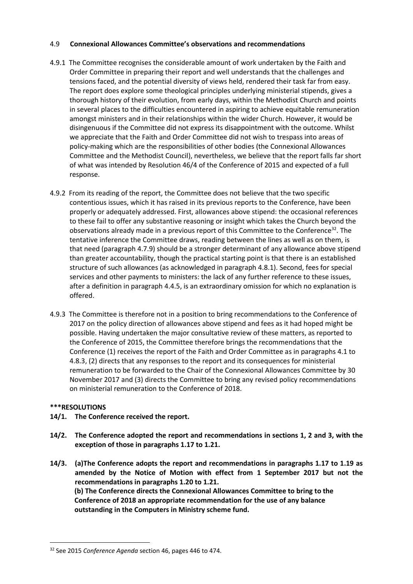#### 4.9 **Connexional Allowances Committee's observations and recommendations**

- 4.9.1 The Committee recognises the considerable amount of work undertaken by the Faith and Order Committee in preparing their report and well understands that the challenges and tensions faced, and the potential diversity of views held, rendered their task far from easy. The report does explore some theological principles underlying ministerial stipends, gives a thorough history of their evolution, from early days, within the Methodist Church and points in several places to the difficulties encountered in aspiring to achieve equitable remuneration amongst ministers and in their relationships within the wider Church. However, it would be disingenuous if the Committee did not express its disappointment with the outcome. Whilst we appreciate that the Faith and Order Committee did not wish to trespass into areas of policy-making which are the responsibilities of other bodies (the Connexional Allowances Committee and the Methodist Council), nevertheless, we believe that the report falls far short of what was intended by Resolution 46/4 of the Conference of 2015 and expected of a full response.
- 4.9.2 From its reading of the report, the Committee does not believe that the two specific contentious issues, which it has raised in its previous reports to the Conference, have been properly or adequately addressed. First, allowances above stipend: the occasional references to these fail to offer any substantive reasoning or insight which takes the Church beyond the observations already made in a previous report of this Committee to the Conference<sup>32</sup>. The tentative inference the Committee draws, reading between the lines as well as on them, is that need (paragraph 4.7.9) should be a stronger determinant of any allowance above stipend than greater accountability, though the practical starting point is that there is an established structure of such allowances (as acknowledged in paragraph 4.8.1). Second, fees for special services and other payments to ministers: the lack of any further reference to these issues, after a definition in paragraph 4.4.5, is an extraordinary omission for which no explanation is offered.
- 4.9.3 The Committee is therefore not in a position to bring recommendations to the Conference of 2017 on the policy direction of allowances above stipend and fees as it had hoped might be possible. Having undertaken the major consultative review of these matters, as reported to the Conference of 2015, the Committee therefore brings the recommendations that the Conference (1) receives the report of the Faith and Order Committee as in paragraphs 4.1 to 4.8.3, (2) directs that any responses to the report and its consequences for ministerial remuneration to be forwarded to the Chair of the Connexional Allowances Committee by 30 November 2017 and (3) directs the Committee to bring any revised policy recommendations on ministerial remuneration to the Conference of 2018.

# **\*\*\*RESOLUTIONS**

**.** 

- **14/1. The Conference received the report.**
- **14/2. The Conference adopted the report and recommendations in sections 1, 2 and 3, with the exception of those in paragraphs 1.17 to 1.21.**
- **14/3. (a)The Conference adopts the report and recommendations in paragraphs 1.17 to 1.19 as amended by the Notice of Motion with effect from 1 September 2017 but not the recommendations in paragraphs 1.20 to 1.21. (b) The Conference directs the Connexional Allowances Committee to bring to the Conference of 2018 an appropriate recommendation for the use of any balance outstanding in the Computers in Ministry scheme fund.**

<sup>32</sup> See 2015 *Conference Agenda* section 46, pages 446 to 474.